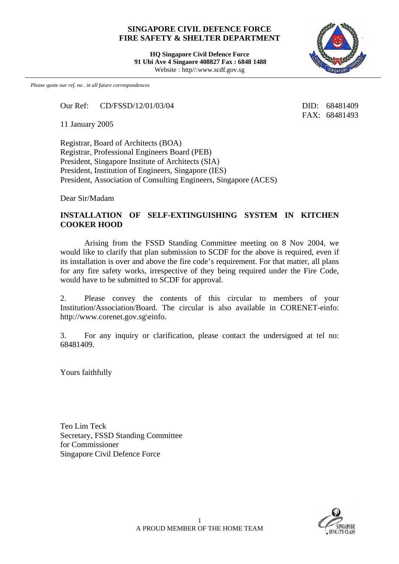## **SINGAPORE CIVIL DEFENCE FORCE FIRE SAFETY & SHELTER DEPARTMENT**

**HQ Singapore Civil Defence Force 91 Ubi Ave 4 Singaore 408827 Fax : 6848 1488** Website : http//:www.scdf.gov.sg



*Please quote our ref. no . in all future correspondences*

Our Ref: CD/FSSD/12/01/03/04 DID: 68481409

11 January 2005

Registrar, Board of Architects (BOA) Registrar, Professional Engineers Board (PEB) President, Singapore Institute of Architects (SIA) President, Institution of Engineers, Singapore (IES) President, Association of Consulting Engineers, Singapore (ACES)

Dear Sir/Madam

## **INSTALLATION OF SELF-EXTINGUISHING SYSTEM IN KITCHEN COOKER HOOD**

Arising from the FSSD Standing Committee meeting on 8 Nov 2004, we would like to clarify that plan submission to SCDF for the above is required, even if its installation is over and above the fire code's requirement. For that matter, all plans for any fire safety works, irrespective of they being required under the Fire Code, would have to be submitted to SCDF for approval.

2. Please convey the contents of this circular to members of your Institution/Association/Board. The circular is also available in CORENET-einfo: http://www.corenet.gov.sg\einfo.

3. For any inquiry or clarification, please contact the undersigned at tel no: 68481409.

Yours faithfully

Teo Lim Teck Secretary, FSSD Standing Committee for Commissioner Singapore Civil Defence Force



FAX: 68481493